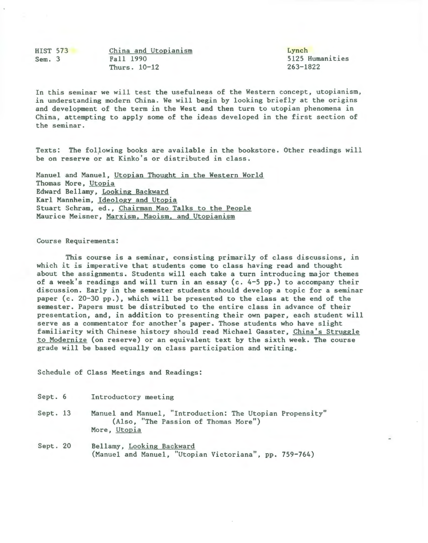HIST 573 Sem. 3 China and Utopianism Fall 1990 Thurs. 10-12

Lynch 5125 Humanities 263-1822

In this seminar we will test the usefulness of the Western concept, utopianism, in understanding modern China. We will begin by looking briefly at the origins and development of the term in the West and then turn to utopian phenomena in China, attempting to apply some of the ideas developed in the first section of the seminar.

Texts: The following books are available in the bookstore. Other readings will be on reserve or at Kinko's or distributed in class.

Manuel and Manuel, Utopian Thought in the Western World Thomas More, Utopia Edward Bellamy, Looking Backward Karl Mannheim, Ideology and Utopia Stuart Schram, ed., Chairman Mao Talks to the People Maurice Meisner, Marxism, Maoism, and Utopianism

## Course Requirements:

This course is a seminar, consisting primarily of class discussions, in which it is imperative that students come to class having read and thought about the assignments. Students will each take a turn introducing major themes of a week's readings and will turn in an essay (c. 4-5 pp.) to accompany their discussion. Early in the semester students should develop a topic for a seminar paper (c. 20-30 pp.), which will be presented to the class at the end of the semester. Papers must be distributed to the entire class in advance of their presentation, and, in addition to presenting their own paper, each student will serve as a commentator for another's paper. Those students who have slight familiarity with Chinese history should read Michael Gasster, China's Struggle to Modernize (on reserve) or an equivalent text by the sixth week. The course grade will be based equally on class participation and writing.

Schedule of Class Meetings and Readings:

| Sept. 6  | Introductory meeting                                                                                              |
|----------|-------------------------------------------------------------------------------------------------------------------|
| Sept. 13 | Manuel and Manuel, "Introduction: The Utopian Propensity"<br>(Also, "The Passion of Thomas More")<br>More, Utopia |
| Sept. 20 | Bellamy, Looking Backward                                                                                         |

(Manuel and Manuel, "Utopian Victoriana", pp. 759-764)